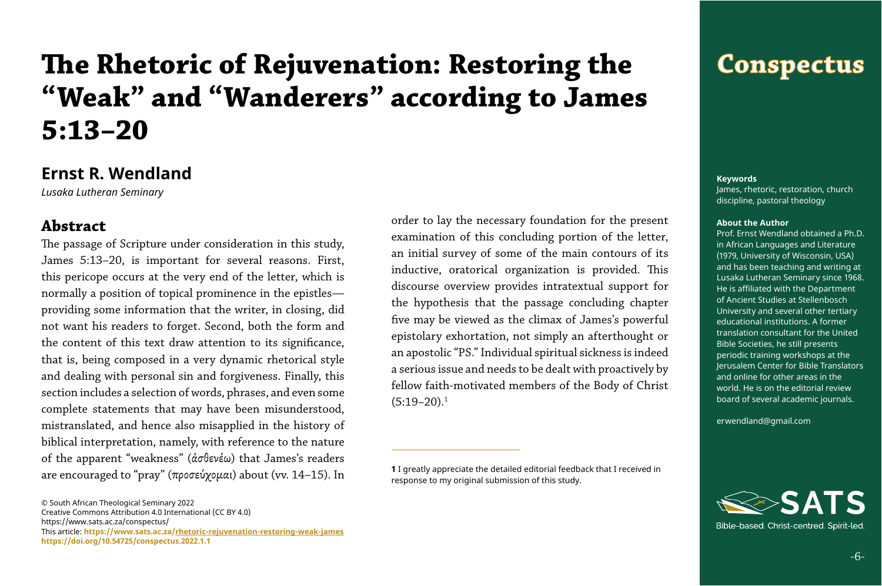# **The Rhetoric of Rejuvenation: Restoring the "Weak" and "Wanderers" according to James 5:13–20**

# **Ernst R. Wendland**

*Lusaka Lutheran Seminary*

### **Abstract**

order to lay the necessary foundation for the present examination of this concluding portion of the letter, an initial survey of some of the main contours of its inductive, oratorical organization is provided. This discourse overview provides intratextual support for the hypothesis that the passage concluding chapter five may be viewed as the climax of James's powerful epistolary exhortation, not simply an afterthought or an apostolic "PS." Individual spiritual sickness is indeed a serious issue and needs to be dealt with proactively by fellow faith-motivated members of the Body of Christ  $(5:19-20).$ <sup>1</sup>

The passage of Scripture under consideration in this study, James 5:13–20, is important for several reasons. First, this pericope occurs at the very end of the letter, which is normally a position of topical prominence in the epistles providing some information that the writer, in closing, did not want his readers to forget. Second, both the form and the content of this text draw attention to its significance, that is, being composed in a very dynamic rhetorical style and dealing with personal sin and forgiveness. Finally, this section includes a selection of words, phrases, and even some complete statements that may have been misunderstood, mistranslated, and hence also misapplied in the history of biblical interpretation, namely, with reference to the nature of the apparent "weakness" (ἀσθενέω) that James's readers are encouraged to "pray" (προσεύχομαι) about (vv. 14–15). In

#### **Keywords**

James, rhetoric, restoration, church discipline, pastoral theology

#### **About the Author**

Prof. Ernst Wendland obtained a Ph.D. in African Languages and Literature (1979, University of Wisconsin, USA) and has been teaching and writing at Lusaka Lutheran Seminary since 1968. He is affiliated with the Department of Ancient Studies at Stellenbosch University and several other tertiary educational institutions. A former translation consultant for the United Bible Societies, he still presents periodic training workshops at the Jerusalem Center for Bible Translators and online for other areas in the world. He is on the editorial review board of several academic journals.

erwendland@gmail.com



Bible-based. Christ-centred. Spirit-led.

© South African Theological Seminary 2022 Creative Commons Attribution 4.0 International (CC BY 4.0) https://www.sats.ac.za/conspectus/ This article: **[https://www.sats.ac.za/](https://www.sats.ac.za/rhetoric-rejuvenation-restoring-weak-james
)rhetoric-rejuvenation-restoring-weak-james <https://doi.org/10.54725/conspectus.2022.1.1>**

# **Conspectus**

**<sup>1</sup>** I greatly appreciate the detailed editorial feedback that I received in response to my original submission of this study.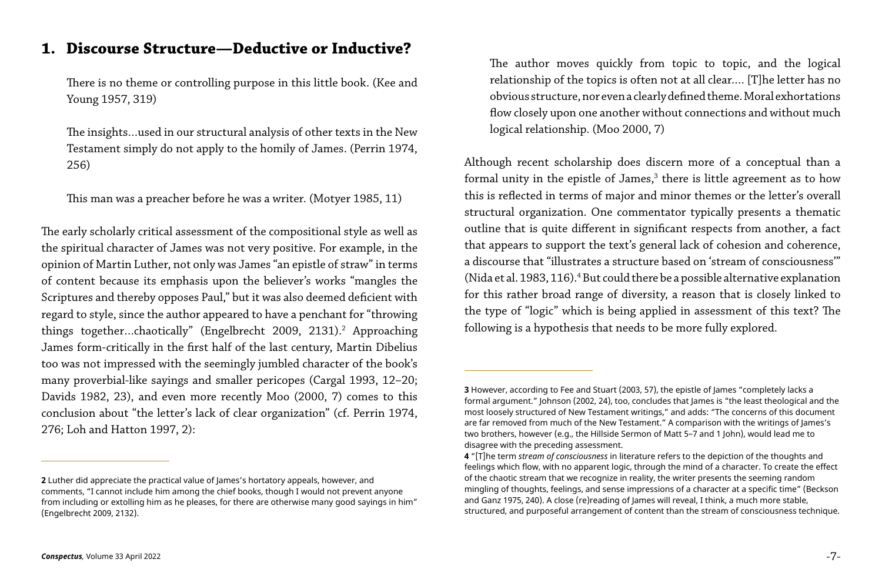### **1. Discourse Structure—Deductive or Inductive?**

There is no theme or controlling purpose in this little book. (Kee and Young 1957, 319)

The insights…used in our structural analysis of other texts in the New Testament simply do not apply to the homily of James. (Perrin 1974, 256)

This man was a preacher before he was a writer. (Motyer 1985, 11)

The early scholarly critical assessment of the compositional style as well as the spiritual character of James was not very positive. For example, in the opinion of Martin Luther, not only was James "an epistle of straw" in terms of content because its emphasis upon the believer's works "mangles the Scriptures and thereby opposes Paul," but it was also deemed deficient with regard to style, since the author appeared to have a penchant for "throwing things together...chaotically" (Engelbrecht 2009, 2131).<sup>2</sup> Approaching James form-critically in the first half of the last century, Martin Dibelius too was not impressed with the seemingly jumbled character of the book's many proverbial-like sayings and smaller pericopes (Cargal 1993, 12–20; Davids 1982, 23), and even more recently Moo (2000, 7) comes to this conclusion about "the letter's lack of clear organization" (cf. Perrin 1974, 276; Loh and Hatton 1997, 2):

The author moves quickly from topic to topic, and the logical relationship of the topics is often not at all clear.… [T]he letter has no obvious structure, nor even a clearly defined theme. Moral exhortations flow closely upon one another without connections and without much logical relationship. (Moo 2000, 7)

Although recent scholarship does discern more of a conceptual than a formal unity in the epistle of James, $^3$  there is little agreement as to how this is reflected in terms of major and minor themes or the letter's overall structural organization. One commentator typically presents a thematic outline that is quite different in significant respects from another, a fact that appears to support the text's general lack of cohesion and coherence, a discourse that "illustrates a structure based on 'stream of consciousness'" (Nida et al. 1983, 116).<sup>4</sup> But could there be a possible alternative explanation for this rather broad range of diversity, a reason that is closely linked to the type of "logic" which is being applied in assessment of this text? The following is a hypothesis that needs to be more fully explored.

**3** However, according to Fee and Stuart (2003, 57), the epistle of James "completely lacks a formal argument." Johnson (2002, 24), too, concludes that James is "the least theological and the most loosely structured of New Testament writings," and adds: "The concerns of this document are far removed from much of the New Testament." A comparison with the writings of James's two brothers, however (e.g., the Hillside Sermon of Matt 5–7 and 1 John), would lead me to

**4** "[T]he term *stream of consciousness* in literature refers to the depiction of the thoughts and feelings which flow, with no apparent logic, through the mind of a character. To create the effect of the chaotic stream that we recognize in reality, the writer presents the seeming random mingling of thoughts, feelings, and sense impressions of a character at a specific time" (Beckson and Ganz 1975, 240). A close (re)reading of James will reveal, I think, a much more stable, structured, and purposeful arrangement of content than the stream of consciousness technique.

**<sup>2</sup>** Luther did appreciate the practical value of James's hortatory appeals, however, and comments, "I cannot include him among the chief books, though I would not prevent anyone from including or extolling him as he pleases, for there are otherwise many good sayings in him" (Engelbrecht 2009, 2132).

disagree with the preceding assessment.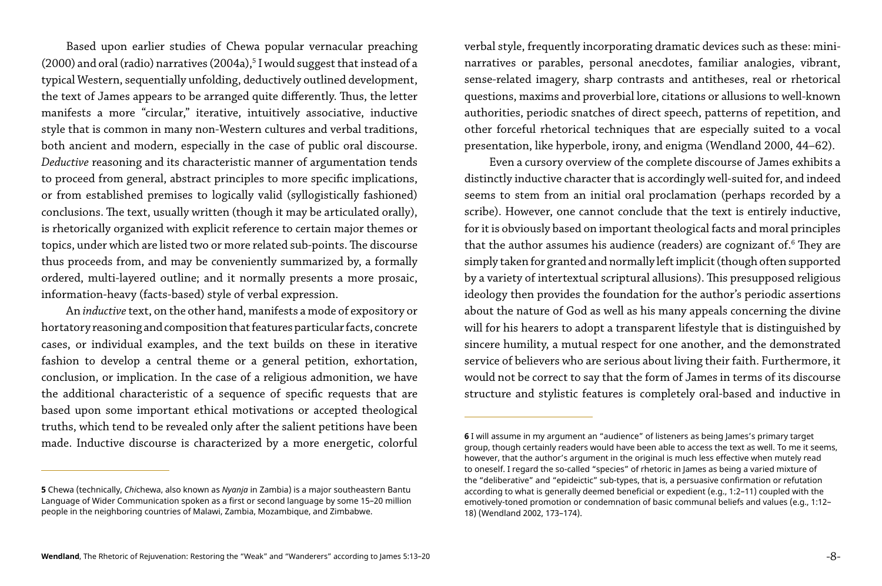Based upon earlier studies of Chewa popular vernacular preaching (2000) and oral (radio) narratives (2004a), $5$  I would suggest that instead of a typical Western, sequentially unfolding, deductively outlined development, the text of James appears to be arranged quite differently. Thus, the letter manifests a more "circular," iterative, intuitively associative, inductive style that is common in many non-Western cultures and verbal traditions, both ancient and modern, especially in the case of public oral discourse. *Deductive* reasoning and its characteristic manner of argumentation tends to proceed from general, abstract principles to more specific implications, or from established premises to logically valid (syllogistically fashioned) conclusions. The text, usually written (though it may be articulated orally), is rhetorically organized with explicit reference to certain major themes or topics, under which are listed two or more related sub-points. The discourse thus proceeds from, and may be conveniently summarized by, a formally ordered, multi-layered outline; and it normally presents a more prosaic, information-heavy (facts-based) style of verbal expression.

An *inductive* text, on the other hand, manifests a mode of expository or hortatory reasoning and composition that features particular facts, concrete cases, or individual examples, and the text builds on these in iterative fashion to develop a central theme or a general petition, exhortation, conclusion, or implication. In the case of a religious admonition, we have the additional characteristic of a sequence of specific requests that are based upon some important ethical motivations or accepted theological truths, which tend to be revealed only after the salient petitions have been made. Inductive discourse is characterized by a more energetic, colorful

verbal style, frequently incorporating dramatic devices such as these: mininarratives or parables, personal anecdotes, familiar analogies, vibrant, sense-related imagery, sharp contrasts and antitheses, real or rhetorical questions, maxims and proverbial lore, citations or allusions to well-known authorities, periodic snatches of direct speech, patterns of repetition, and other forceful rhetorical techniques that are especially suited to a vocal presentation, like hyperbole, irony, and enigma (Wendland 2000, 44–62). Even a cursory overview of the complete discourse of James exhibits a distinctly inductive character that is accordingly well-suited for, and indeed seems to stem from an initial oral proclamation (perhaps recorded by a scribe). However, one cannot conclude that the text is entirely inductive, for it is obviously based on important theological facts and moral principles that the author assumes his audience (readers) are cognizant of. $\rm^6$  They are simply taken for granted and normally left implicit (though often supported by a variety of intertextual scriptural allusions). This presupposed religious ideology then provides the foundation for the author's periodic assertions about the nature of God as well as his many appeals concerning the divine will for his hearers to adopt a transparent lifestyle that is distinguished by sincere humility, a mutual respect for one another, and the demonstrated service of believers who are serious about living their faith. Furthermore, it would not be correct to say that the form of James in terms of its discourse

structure and stylistic features is completely oral-based and inductive in

**6** I will assume in my argument an "audience" of listeners as being James's primary target group, though certainly readers would have been able to access the text as well. To me it seems, however, that the author's argument in the original is much less effective when mutely read to oneself. I regard the so-called "species" of rhetoric in James as being a varied mixture of the "deliberative" and "epideictic" sub-types, that is, a persuasive confirmation or refutation according to what is generally deemed beneficial or expedient (e.g., 1:2–11) coupled with the emotively-toned promotion or condemnation of basic communal beliefs and values (e.g., 1:12–

<sup>18) (</sup>Wendland 2002, 173–174).

**<sup>5</sup>** Chewa (technically, *Chi*chewa, also known as *Nyanja* in Zambia) is a major southeastern Bantu Language of Wider Communication spoken as a first or second language by some 15–20 million people in the neighboring countries of Malawi, Zambia, Mozambique, and Zimbabwe.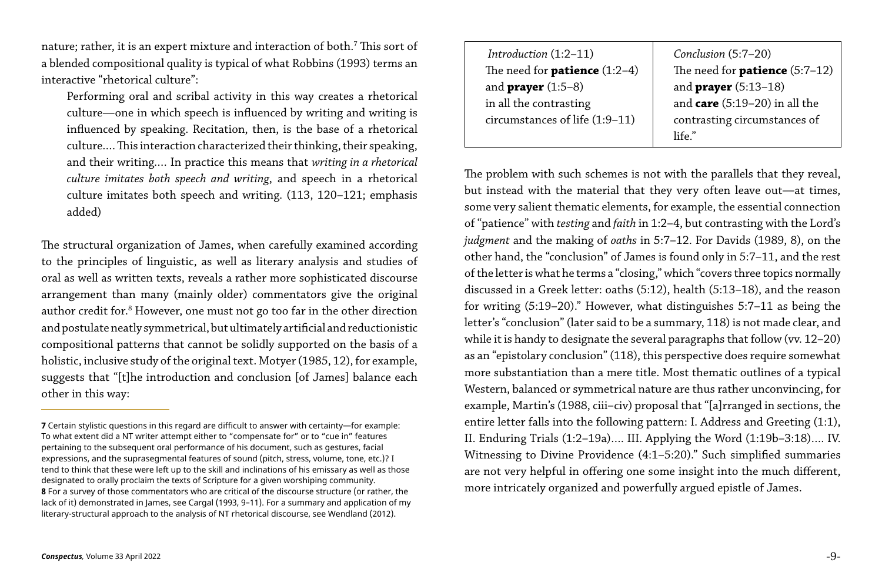nature; rather, it is an expert mixture and interaction of both. $^7$  This sort of a blended compositional quality is typical of what Robbins (1993) terms an interactive "rhetorical culture":

Performing oral and scribal activity in this way creates a rhetorical culture—one in which speech is influenced by writing and writing is influenced by speaking. Recitation, then, is the base of a rhetorical culture.… This interaction characterized their thinking, their speaking, and their writing.… In practice this means that *writing in a rhetorical culture imitates both speech and writing*, and speech in a rhetorical culture imitates both speech and writing. (113, 120–121; emphasis added)

 *Introduction* (1:2–11) The need for **patience** (1:2 and **prayer** (1:5–8) in all the contrasting circumstances of life (1:9-1

The structural organization of James, when carefully examined according to the principles of linguistic, as well as literary analysis and studies of oral as well as written texts, reveals a rather more sophisticated discourse arrangement than many (mainly older) commentators give the original author credit for.<sup>8</sup> However, one must not go too far in the other direction and postulate neatly symmetrical, but ultimately artificial and reductionistic compositional patterns that cannot be solidly supported on the basis of a holistic, inclusive study of the original text. Motyer (1985, 12), for example, suggests that "[t]he introduction and conclusion [of James] balance each other in this way:

|        | Conclusion (5:7-20)                     |
|--------|-----------------------------------------|
| $(-4)$ | The need for <b>patience</b> $(5:7-12)$ |
|        | and <b>prayer</b> (5:13-18)             |
|        | and care $(5:19-20)$ in all the         |
| 11`    | contrasting circumstances of            |
|        | $l$ ife $\degree$                       |
|        |                                         |

The problem with such schemes is not with the parallels that they reveal, but instead with the material that they very often leave out—at times, some very salient thematic elements, for example, the essential connection of "patience" with *testing* and *faith* in 1:2–4, but contrasting with the Lord's *judgment* and the making of *oaths* in 5:7–12. For Davids (1989, 8), on the other hand, the "conclusion" of James is found only in 5:7–11, and the rest of the letter is what he terms a "closing," which "covers three topics normally discussed in a Greek letter: oaths (5:12), health (5:13–18), and the reason for writing (5:19–20)." However, what distinguishes 5:7–11 as being the letter's "conclusion" (later said to be a summary, 118) is not made clear, and while it is handy to designate the several paragraphs that follow (vv. 12-20) as an "epistolary conclusion" (118), this perspective does require somewhat more substantiation than a mere title. Most thematic outlines of a typical Western, balanced or symmetrical nature are thus rather unconvincing, for example, Martin's (1988, ciii–civ) proposal that "[a]rranged in sections, the entire letter falls into the following pattern: I. Address and Greeting (1:1), II. Enduring Trials (1:2–19a)…. III. Applying the Word (1:19b–3:18)…. IV. Witnessing to Divine Providence (4:1–5:20)." Such simplified summaries are not very helpful in offering one some insight into the much different, more intricately organized and powerfully argued epistle of James.

**<sup>7</sup>** Certain stylistic questions in this regard are difficult to answer with certainty—for example: To what extent did a NT writer attempt either to "compensate for" or to "cue in" features pertaining to the subsequent oral performance of his document, such as gestures, facial expressions, and the suprasegmental features of sound (pitch, stress, volume, tone, etc.)? I tend to think that these were left up to the skill and inclinations of his emissary as well as those designated to orally proclaim the texts of Scripture for a given worshiping community. **8** For a survey of those commentators who are critical of the discourse structure (or rather, the lack of it) demonstrated in James, see Cargal (1993, 9–11). For a summary and application of my literary-structural approach to the analysis of NT rhetorical discourse, see Wendland (2012).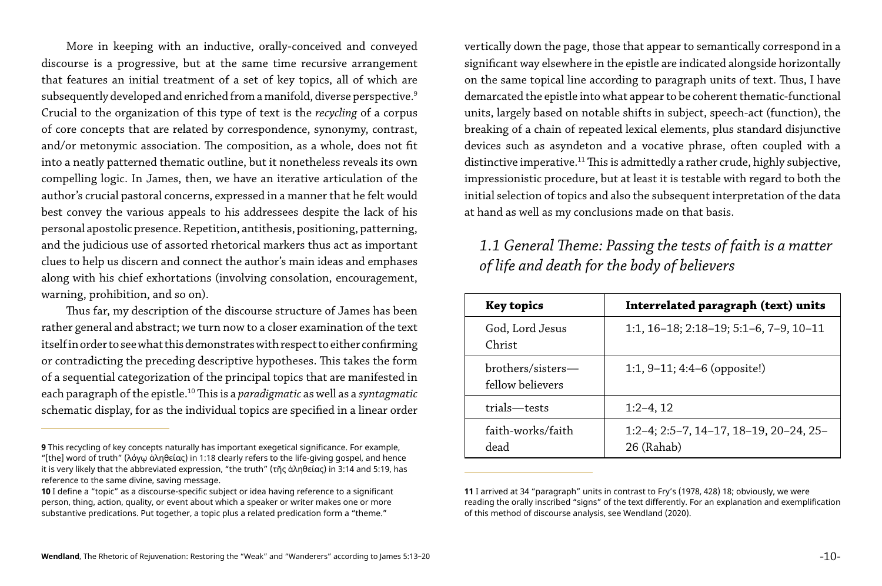More in keeping with an inductive, orally-conceived and conveyed discourse is a progressive, but at the same time recursive arrangement that features an initial treatment of a set of key topics, all of which are subsequently developed and enriched from a manifold, diverse perspective.<sup>9</sup> Crucial to the organization of this type of text is the *recycling* of a corpus of core concepts that are related by correspondence, synonymy, contrast, and/or metonymic association. The composition, as a whole, does not fit into a neatly patterned thematic outline, but it nonetheless reveals its own compelling logic. In James, then, we have an iterative articulation of the author's crucial pastoral concerns, expressed in a manner that he felt would best convey the various appeals to his addressees despite the lack of his personal apostolic presence. Repetition, antithesis, positioning, patterning, and the judicious use of assorted rhetorical markers thus act as important clues to help us discern and connect the author's main ideas and emphases along with his chief exhortations (involving consolation, encouragement, warning, prohibition, and so on).

Thus far, my description of the discourse structure of James has been rather general and abstract; we turn now to a closer examination of the text itself in order to see what this demonstrates with respect to either confirming or contradicting the preceding descriptive hypotheses. This takes the form of a sequential categorization of the principal topics that are manifested in each paragraph of the epistle.10 This is a *paradigmatic* as well as a *syntagmatic* schematic display, for as the individual topics are specified in a linear order

vertically down the page, those that appear to semantically correspond in a significant way elsewhere in the epistle are indicated alongside horizontally on the same topical line according to paragraph units of text. Thus, I have demarcated the epistle into what appear to be coherent thematic-functional units, largely based on notable shifts in subject, speech-act (function), the breaking of a chain of repeated lexical elements, plus standard disjunctive devices such as asyndeton and a vocative phrase, often coupled with a distinctive imperative.<sup>11</sup> This is admittedly a rather crude, highly subjective, impressionistic procedure, but at least it is testable with regard to both the initial selection of topics and also the subsequent interpretation of the data at hand as well as my conclusions made on that basis.

# *1.1 General Theme: Passing the tests of faith is a matter of life and death for the body of believers*

#### **Key topics Interrelated paragraph (text) units**

1:1, 16–18; 2:18–19; 5:1–6, 7–9, 10–11

| <b>Key topics</b>                     |  |
|---------------------------------------|--|
| God, Lord Jesus<br>Christ             |  |
| brothers/sisters-<br>fellow believers |  |
| trials-tests                          |  |
| faith-works/faith<br>dead             |  |

1:1, 9–11; 4:4–6 (opposite!)

 $1:2-4, 12$ 

1:2–4; 2:5–7, 14–17, 18–19, 20–24, 25–

**11** I arrived at 34 "paragraph" units in contrast to Fry's (1978, 428) 18; obviously, we were reading the orally inscribed "signs" of the text differently. For an explanation and exemplification of this method of discourse analysis, see Wendland (2020).

**<sup>9</sup>** This recycling of key concepts naturally has important exegetical significance. For example, 26 (Rahab) and  $\frac{1}{26}$  (Rahab) "[the] word of truth" (λόγῳ ἀληθείας) in 1:18 clearly refers to the life-giving gospel, and hence it is very likely that the abbreviated expression, "the truth" (τῆς ἀληθείας) in 3:14 and 5:19, has reference to the same divine, saving message.

**<sup>10</sup>** I define a "topic" as a discourse-specific subject or idea having reference to a significant person, thing, action, quality, or event about which a speaker or writer makes one or more substantive predications. Put together, a topic plus a related predication form a "theme."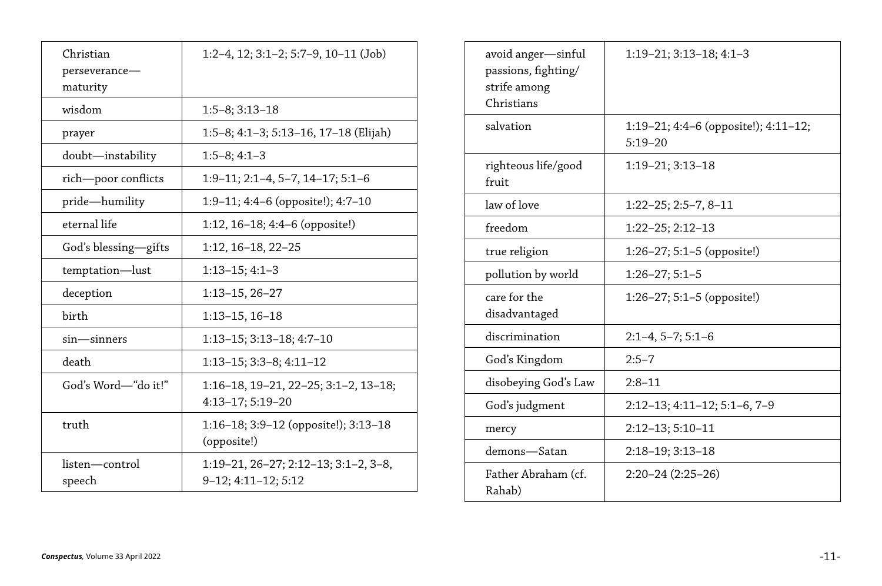| Christian<br>perseverance—<br>maturity | $1:2-4$ , $12$ ; $3:1-2$ ; $5:7-9$ , $10-11$ (Job)                        |
|----------------------------------------|---------------------------------------------------------------------------|
| wisdom                                 | $1:5-8$ ; $3:13-18$                                                       |
| prayer                                 | 1:5–8; 4:1–3; 5:13–16, 17–18 (Elijah)                                     |
| doubt—instability                      | $1:5-8; 4:1-3$                                                            |
| rich—poor conflicts                    | $1:9-11$ ; $2:1-4$ , $5-7$ , $14-17$ ; $5:1-6$                            |
| pride—humility                         | 1:9-11; 4:4-6 (opposite!); 4:7-10                                         |
| eternal life                           | 1:12, $16-18$ ; $4:4-6$ (opposite!)                                       |
| God's blessing—gifts                   | $1:12, 16-18, 22-25$                                                      |
| temptation—lust                        | $1:13-15; 4:1-3$                                                          |
| deception                              | $1:13-15, 26-27$                                                          |
| birth                                  | $1:13-15, 16-18$                                                          |
| $sin$ $-sinners$                       | $1:13-15$ ; $3:13-18$ ; $4:7-10$                                          |
| death                                  | $1:13-15$ ; $3:3-8$ ; $4:11-12$                                           |
| God's Word—"do it!"                    | $1:16-18$ , $19-21$ , $22-25$ ; $3:1-2$ , $13-18$ ;<br>$4:13-17; 5:19-20$ |
| truth                                  | $1:16-18$ ; 3:9-12 (opposite!); 3:13-18<br>(opposite!)                    |
| listen-control<br>speech               | $1:19-21, 26-27; 2:12-13; 3:1-2, 3-8,$<br>$9-12; 4:11-12; 5:12$           |

# 1:19–21; 3:13–18; 4:1–3

| avoid anger—sinful<br>passions, fighting/<br>strife among<br>Christians | $1:19-21; 3:13-18; 4:1$             |
|-------------------------------------------------------------------------|-------------------------------------|
| salvation                                                               | 1:19-21; 4:4-6 (oppo<br>$5:19 - 20$ |
| righteous life/good<br>fruit                                            | 1:19–21; 3:13–18                    |
| law of love                                                             | $1:22-25; 2:5-7, 8-11$              |
| freedom                                                                 | $1:22-25; 2:12-13$                  |
| true religion                                                           | $1:26-27; 5:1-5$ (oppo              |
| pollution by world                                                      | $1:26-27; 5:1-5$                    |
| care for the<br>disadvantaged                                           | $1:26-27; 5:1-5$ (oppo              |
| discrimination                                                          | $2:1-4, 5-7; 5:1-6$                 |
| God's Kingdom                                                           | $2:5 - 7$                           |
| disobeying God's Law                                                    | $2:8-11$                            |
| God's judgment                                                          | $2:12-13; 4:11-12; 5:1$             |
| mercy                                                                   | $2:12-13; 5:10-11$                  |
| demons—Satan                                                            | $2:18-19; 3:13-18$                  |
| Father Abraham (cf.<br>Rahab)                                           | $2:20-24(2:25-26)$                  |

| 1:19–21; 4:4–6 (opposite!); 4:11–12;<br>$5:19 - 20$ |
|-----------------------------------------------------|
| $1:19-21$ ; $3:13-18$                               |
| $1:22-25; 2:5-7, 8-11$                              |
| $1:22-25; 2:12-13$                                  |
| $1:26-27; 5:1-5$ (opposite!)                        |
| $1:26-27; 5:1-5$                                    |
| $1:26-27; 5:1-5$ (opposite!)                        |
| $2:1-4, 5-7; 5:1-6$                                 |
| $2:5 - 7$                                           |
| 2:8–11                                              |
| $2:12-13$ ; $4:11-12$ ; $5:1-6$ , $7-9$             |
| $2:12-13; 5:10-11$                                  |
| $2:18-19; 3:13-18$                                  |
| $2:20-24(2:25-26)$                                  |
|                                                     |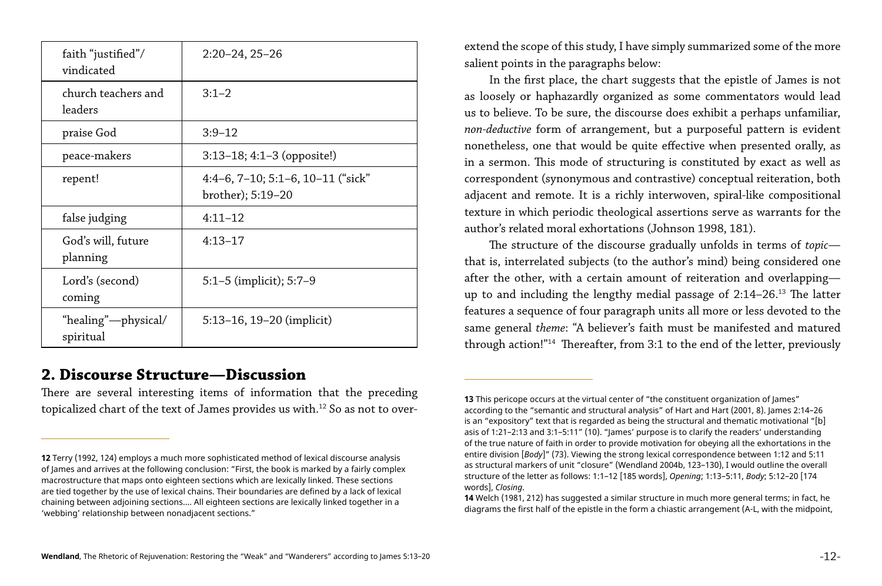There are several interesting items of information that the preceding topicalized chart of the text of James provides us with.<sup>12</sup> So as not to over-

| faith "justified"/<br>vindicated | $2:20-24, 25-26$                                                  |
|----------------------------------|-------------------------------------------------------------------|
| church teachers and<br>leaders   | $3:1-2$                                                           |
| praise God                       | $3:9 - 12$                                                        |
| peace-makers                     | $3:13-18$ ; 4:1-3 (opposite!)                                     |
| repent!                          | $4:4-6$ , $7-10$ ; $5:1-6$ , $10-11$ ("sick"<br>brother); 5:19–20 |
| false judging                    | $4:11-12$                                                         |
| God's will, future<br>planning   | $4:13-17$                                                         |
| Lord's (second)<br>coming        | 5:1–5 (implicit); $5:7-9$                                         |
| "healing"—physical/<br>spiritual | 5:13-16, 19-20 (implicit)                                         |

## **2. Discourse Structure—Discussion**

extend the scope of this study, I have simply summarized some of the more salient points in the paragraphs below:

In the first place, the chart suggests that the epistle of James is not as loosely or haphazardly organized as some commentators would lead us to believe. To be sure, the discourse does exhibit a perhaps unfamiliar, *non-deductive* form of arrangement, but a purposeful pattern is evident nonetheless, one that would be quite effective when presented orally, as in a sermon. This mode of structuring is constituted by exact as well as correspondent (synonymous and contrastive) conceptual reiteration, both adjacent and remote. It is a richly interwoven, spiral-like compositional texture in which periodic theological assertions serve as warrants for the author's related moral exhortations (Johnson 1998, 181).

The structure of the discourse gradually unfolds in terms of *topic* that is, interrelated subjects (to the author's mind) being considered one after the other, with a certain amount of reiteration and overlapping up to and including the lengthy medial passage of 2:14–26.13 The latter features a sequence of four paragraph units all more or less devoted to the same general *theme*: "A believer's faith must be manifested and matured through action!"14 Thereafter, from 3:1 to the end of the letter, previously

**13** This pericope occurs at the virtual center of "the constituent organization of James" according to the "semantic and structural analysis" of Hart and Hart (2001, 8). James 2:14–26 is an "expository" text that is regarded as being the structural and thematic motivational "[b] asis of 1:21–2:13 and 3:1–5:11" (10). "James' purpose is to clarify the readers' understanding of the true nature of faith in order to provide motivation for obeying all the exhortations in the entire division [*Body*]" (73). Viewing the strong lexical correspondence between 1:12 and 5:11 as structural markers of unit "closure" (Wendland 2004b, 123–130), I would outline the overall structure of the letter as follows: 1:1–12 [185 words], *Opening*; 1:13–5:11, *Body*; 5:12–20 [174

**14** Welch (1981, 212) has suggested a similar structure in much more general terms; in fact, he diagrams the first half of the epistle in the form a chiastic arrangement (A-L, with the midpoint,

**<sup>12</sup>** Terry (1992, 124) employs a much more sophisticated method of lexical discourse analysis of James and arrives at the following conclusion: "First, the book is marked by a fairly complex macrostructure that maps onto eighteen sections which are lexically linked. These sections are tied together by the use of lexical chains. Their boundaries are defined by a lack of lexical chaining between adjoining sections.… All eighteen sections are lexically linked together in a 'webbing' relationship between nonadjacent sections."

words], *Closing*.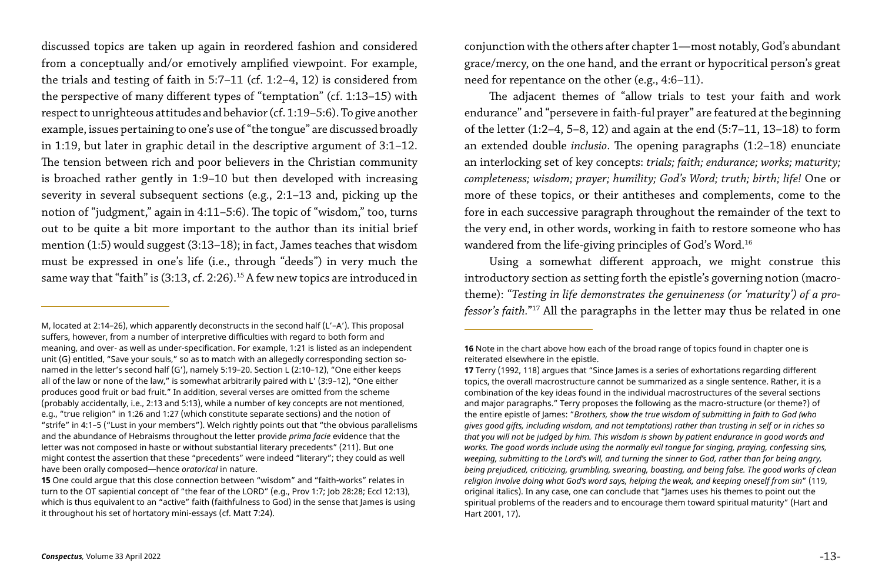discussed topics are taken up again in reordered fashion and considered from a conceptually and/or emotively amplified viewpoint. For example, the trials and testing of faith in 5:7–11 (cf. 1:2–4, 12) is considered from the perspective of many different types of "temptation" (cf. 1:13–15) with respect to unrighteous attitudes and behavior (cf. 1:19–5:6). To give another example, issues pertaining to one's use of "the tongue" are discussed broadly in 1:19, but later in graphic detail in the descriptive argument of 3:1–12. The tension between rich and poor believers in the Christian community is broached rather gently in 1:9–10 but then developed with increasing severity in several subsequent sections (e.g., 2:1–13 and, picking up the notion of "judgment," again in 4:11–5:6). The topic of "wisdom," too, turns out to be quite a bit more important to the author than its initial brief mention (1:5) would suggest (3:13–18); in fact, James teaches that wisdom must be expressed in one's life (i.e., through "deeds") in very much the same way that "faith" is (3:13, cf. 2:26).<sup>15</sup> A few new topics are introduced in

The adjacent themes of "allow trials to test your faith and work endurance" and "persevere in faith-ful prayer" are featured at the beginning of the letter (1:2–4, 5–8, 12) and again at the end (5:7–11, 13–18) to form an extended double *inclusio*. The opening paragraphs (1:2–18) enunciate an interlocking set of key concepts: *trials; faith; endurance; works; maturity; completeness; wisdom; prayer; humility; God's Word; truth; birth; life!* One or more of these topics, or their antitheses and complements, come to the fore in each successive paragraph throughout the remainder of the text to the very end, in other words, working in faith to restore someone who has wandered from the life-giving principles of God's Word.<sup>16</sup>

conjunction with the others after chapter 1—most notably, God's abundant grace/mercy, on the one hand, and the errant or hypocritical person's great need for repentance on the other (e.g., 4:6–11).

Using a somewhat different approach, we might construe this introductory section as setting forth the epistle's governing notion (macrotheme): "*Testing in life demonstrates the genuineness (or 'maturity') of a professor's faith.*"17 All the paragraphs in the letter may thus be related in one

**16** Note in the chart above how each of the broad range of topics found in chapter one is

**17** Terry (1992, 118) argues that "Since James is a series of exhortations regarding different topics, the overall macrostructure cannot be summarized as a single sentence. Rather, it is a combination of the key ideas found in the individual macrostructures of the several sections and major paragraphs." Terry proposes the following as the macro-structure (or theme?) of the entire epistle of James: "*Brothers, show the true wisdom of submitting in faith to God (who gives good gifts, including wisdom, and not temptations) rather than trusting in self or in riches so that you will not be judged by him. This wisdom is shown by patient endurance in good words and works. The good words include using the normally evil tongue for singing, praying, confessing sins, weeping, submitting to the Lord's will, and turning the sinner to God, rather than for being angry, being prejudiced, criticizing, grumbling, swearing, boasting, and being false. The good works of clean religion involve doing what God's word says, helping the weak, and keeping oneself from sin*" (119, original italics). In any case, one can conclude that "James uses his themes to point out the spiritual problems of the readers and to encourage them toward spiritual maturity" (Hart and

M, located at 2:14–26), which apparently deconstructs in the second half (L'–A'). This proposal suffers, however, from a number of interpretive difficulties with regard to both form and meaning, and over- as well as under-specification. For example, 1:21 is listed as an independent unit (G) entitled, "Save your souls," so as to match with an allegedly corresponding section sonamed in the letter's second half (G'), namely 5:19–20. Section L (2:10–12), "One either keeps all of the law or none of the law," is somewhat arbitrarily paired with L' (3:9–12), "One either produces good fruit or bad fruit." In addition, several verses are omitted from the scheme (probably accidentally, i.e., 2:13 and 5:13), while a number of key concepts are not mentioned, e.g., "true religion" in 1:26 and 1:27 (which constitute separate sections) and the notion of "strife" in 4:1–5 ("Lust in your members"). Welch rightly points out that "the obvious parallelisms and the abundance of Hebraisms throughout the letter provide *prima facie* evidence that the letter was not composed in haste or without substantial literary precedents" (211). But one might contest the assertion that these "precedents" were indeed "literary"; they could as well have been orally composed—hence *oratorical* in nature.

**<sup>15</sup>** One could argue that this close connection between "wisdom" and "faith-works" relates in turn to the OT sapiential concept of "the fear of the LORD" (e.g., Prov 1:7; Job 28:28; Eccl 12:13), which is thus equivalent to an "active" faith (faithfulness to God) in the sense that James is using it throughout his set of hortatory mini-essays (cf. Matt 7:24).

reiterated elsewhere in the epistle. Hart 2001, 17).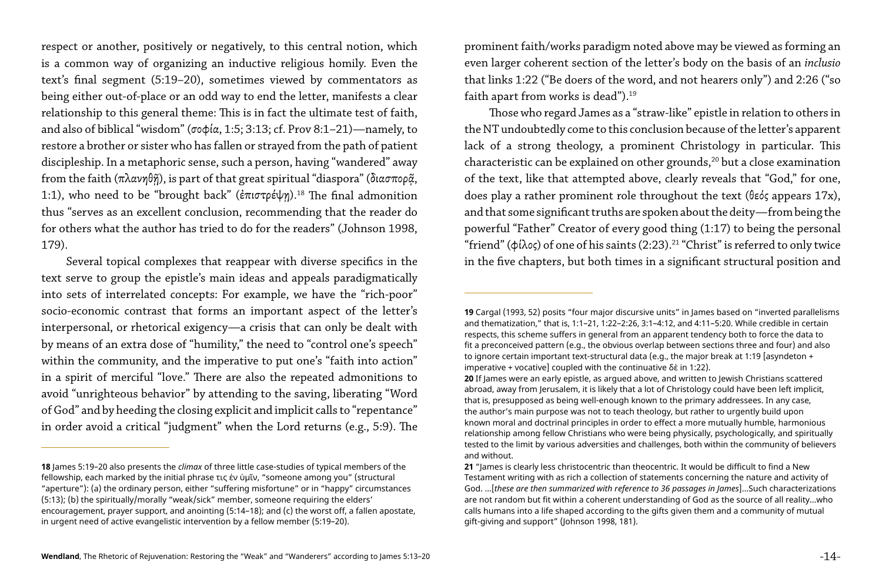respect or another, positively or negatively, to this central notion, which is a common way of organizing an inductive religious homily. Even the text's final segment (5:19–20), sometimes viewed by commentators as being either out-of-place or an odd way to end the letter, manifests a clear relationship to this general theme: This is in fact the ultimate test of faith, and also of biblical "wisdom" (σοφία, 1:5; 3:13; cf. Prov 8:1–21)—namely, to restore a brother or sister who has fallen or strayed from the path of patient discipleship. In a metaphoric sense, such a person, having "wandered" away from the faith  $(πλανηθή)$ , is part of that great spiritual "diaspora" (διασπορ $\tilde{α}$ , 1:1), who need to be "brought back" (ἐπιστρέψη).<sup>18</sup> The final admonition thus "serves as an excellent conclusion, recommending that the reader do for others what the author has tried to do for the readers" (Johnson 1998, 179).

prominent faith/works paradigm noted above may be viewed as forming an even larger coherent section of the letter's body on the basis of an *inclusio* that links 1:22 ("Be doers of the word, and not hearers only") and 2:26 ("so faith apart from works is dead").<sup>19</sup>

Several topical complexes that reappear with diverse specifics in the text serve to group the epistle's main ideas and appeals paradigmatically into sets of interrelated concepts: For example, we have the "rich-poor" socio-economic contrast that forms an important aspect of the letter's interpersonal, or rhetorical exigency—a crisis that can only be dealt with by means of an extra dose of "humility," the need to "control one's speech" within the community, and the imperative to put one's "faith into action" in a spirit of merciful "love." There are also the repeated admonitions to avoid "unrighteous behavior" by attending to the saving, liberating "Word of God" and by heeding the closing explicit and implicit calls to "repentance" in order avoid a critical "judgment" when the Lord returns (e.g., 5:9). The

Those who regard James as a "straw-like" epistle in relation to others in the NT undoubtedly come to this conclusion because of the letter's apparent lack of a strong theology, a prominent Christology in particular. This characteristic can be explained on other grounds,<sup>20</sup> but a close examination of the text, like that attempted above, clearly reveals that "God," for one, does play a rather prominent role throughout the text (θεός appears 17x), and that some significant truths are spoken about the deity—from being the powerful "Father" Creator of every good thing (1:17) to being the personal "friend" (φίλος) of one of his saints (2:23).<sup>21</sup> "Christ" is referred to only twice in the five chapters, but both times in a significant structural position and

**19** Cargal (1993, 52) posits "four major discursive units" in James based on "inverted parallelisms and thematization," that is, 1:1–21, 1:22–2:26, 3:1–4:12, and 4:11–5:20. While credible in certain respects, this scheme suffers in general from an apparent tendency both to force the data to fit a preconceived pattern (e.g., the obvious overlap between sections three and four) and also to ignore certain important text-structural data (e.g., the major break at 1:19 [asyndeton +

**20** If James were an early epistle, as argued above, and written to Jewish Christians scattered abroad, away from Jerusalem, it is likely that a lot of Christology could have been left implicit, that is, presupposed as being well-enough known to the primary addressees. In any case, the author's main purpose was not to teach theology, but rather to urgently build upon known moral and doctrinal principles in order to effect a more mutually humble, harmonious relationship among fellow Christians who were being physically, psychologically, and spiritually tested to the limit by various adversities and challenges, both within the community of believers

**21** "James is clearly less christocentric than theocentric. It would be difficult to find a New Testament writing with as rich a collection of statements concerning the nature and activity of God. …[*these are then summarized with reference to 36 passages in James*]…Such characterizations are not random but fit within a coherent understanding of God as the source of all reality…who calls humans into a life shaped according to the gifts given them and a community of mutual

**<sup>18</sup>** James 5:19–20 also presents the *climax* of three little case-studies of typical members of the fellowship, each marked by the initial phrase τις ἐν ὑμῖν, "someone among you" (structural "aperture"): (a) the ordinary person, either "suffering misfortune" or in "happy" circumstances (5:13); (b) the spiritually/morally "weak/sick" member, someone requiring the elders' encouragement, prayer support, and anointing (5:14–18); and (c) the worst off, a fallen apostate, in urgent need of active evangelistic intervention by a fellow member (5:19–20).

imperative + vocative] coupled with the continuative δὲ in 1:22). and without.

gift-giving and support" (Johnson 1998, 181).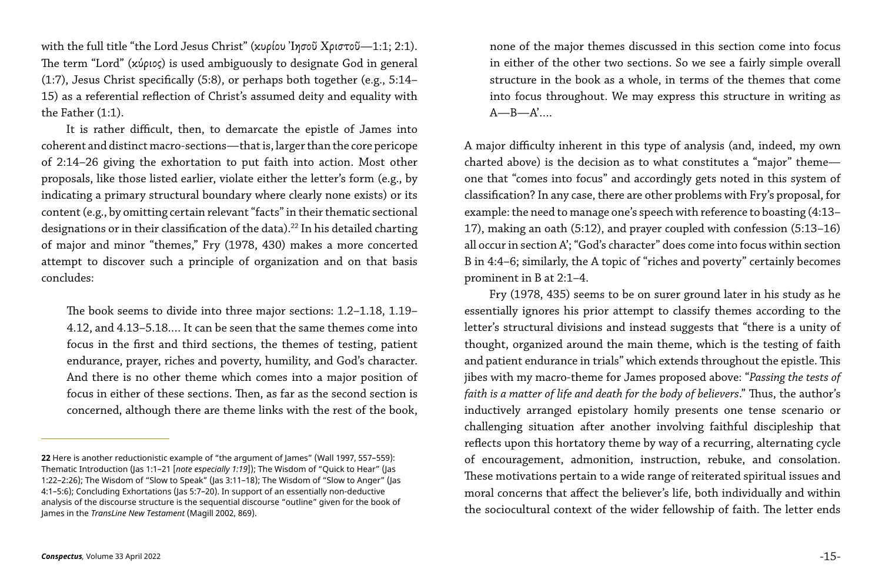with the full title "the Lord Jesus Christ" (κυρίου Ἰησοῦ Χριστοῦ—1:1; 2:1). The term "Lord" (κύριος) is used ambiguously to designate God in general (1:7), Jesus Christ specifically (5:8), or perhaps both together (e.g., 5:14– 15) as a referential reflection of Christ's assumed deity and equality with the Father (1:1).

It is rather difficult, then, to demarcate the epistle of James into coherent and distinct macro-sections—that is, larger than the core pericope of 2:14–26 giving the exhortation to put faith into action. Most other proposals, like those listed earlier, violate either the letter's form (e.g., by indicating a primary structural boundary where clearly none exists) or its content (e.g., by omitting certain relevant "facts" in their thematic sectional designations or in their classification of the data).<sup>22</sup> In his detailed charting of major and minor "themes," Fry (1978, 430) makes a more concerted attempt to discover such a principle of organization and on that basis concludes:

none of the major themes discussed in this section come into focus in either of the other two sections. So we see a fairly simple overall structure in the book as a whole, in terms of the themes that come into focus throughout. We may express this structure in writing as  $A$ — $B$ — $A'$ ...

The book seems to divide into three major sections: 1.2–1.18, 1.19– 4.12, and 4.13–5.18.… It can be seen that the same themes come into focus in the first and third sections, the themes of testing, patient endurance, prayer, riches and poverty, humility, and God's character. And there is no other theme which comes into a major position of focus in either of these sections. Then, as far as the second section is concerned, although there are theme links with the rest of the book,

A major difficulty inherent in this type of analysis (and, indeed, my own charted above) is the decision as to what constitutes a "major" theme one that "comes into focus" and accordingly gets noted in this system of classification? In any case, there are other problems with Fry's proposal, for example: the need to manage one's speech with reference to boasting (4:13– 17), making an oath (5:12), and prayer coupled with confession (5:13–16) all occur in section A'; "God's character" does come into focus within section B in 4:4–6; similarly, the A topic of "riches and poverty" certainly becomes prominent in B at 2:1–4.

Fry (1978, 435) seems to be on surer ground later in his study as he essentially ignores his prior attempt to classify themes according to the letter's structural divisions and instead suggests that "there is a unity of thought, organized around the main theme, which is the testing of faith and patient endurance in trials" which extends throughout the epistle. This jibes with my macro-theme for James proposed above: "*Passing the tests of faith is a matter of life and death for the body of believers*." Thus, the author's inductively arranged epistolary homily presents one tense scenario or challenging situation after another involving faithful discipleship that reflects upon this hortatory theme by way of a recurring, alternating cycle of encouragement, admonition, instruction, rebuke, and consolation. These motivations pertain to a wide range of reiterated spiritual issues and moral concerns that affect the believer's life, both individually and within the sociocultural context of the wider fellowship of faith. The letter ends

**<sup>22</sup>** Here is another reductionistic example of "the argument of James" (Wall 1997, 557–559): Thematic Introduction (Jas 1:1–21 [*note especially 1:19*]); The Wisdom of "Quick to Hear" (Jas 1:22–2:26); The Wisdom of "Slow to Speak" (Jas 3:11–18); The Wisdom of "Slow to Anger" (Jas 4:1–5:6); Concluding Exhortations (Jas 5:7–20). In support of an essentially non-deductive analysis of the discourse structure is the sequential discourse "outline" given for the book of James in the *TransLine New Testament* (Magill 2002, 869).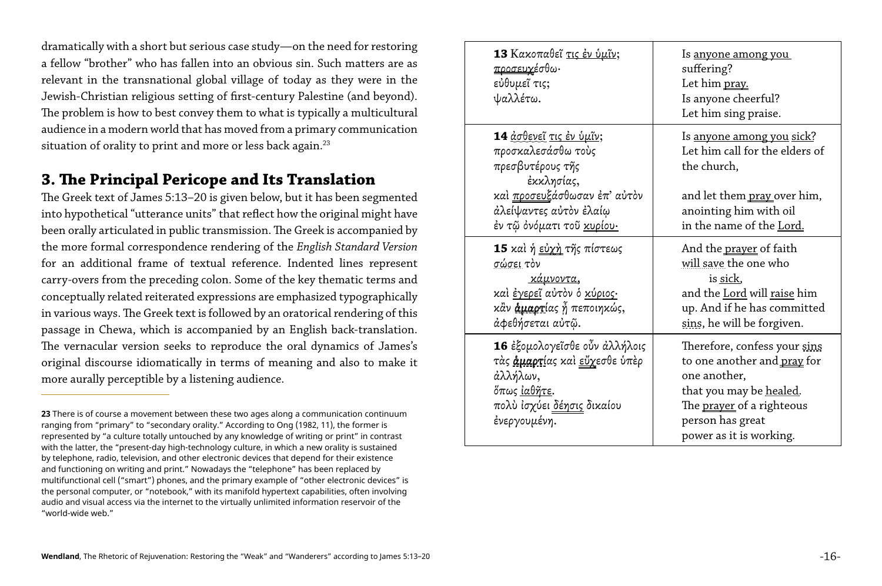dramatically with a short but serious case study—on the need for restoring a fellow "brother" who has fallen into an obvious sin. Such matters are as relevant in the transnational global village of today as they were in the Jewish-Christian religious setting of first-century Palestine (and beyond). The problem is how to best convey them to what is typically a multicultural audience in a modern world that has moved from a primary communication situation of orality to print and more or less back again.<sup>23</sup>

## **3. The Principal Pericope and Its Translation**

The Greek text of James 5:13–20 is given below, but it has been segmented into hypothetical "utterance units" that reflect how the original might have been orally articulated in public transmission. The Greek is accompanied by the more formal correspondence rendering of the *English Standard Version*  for an additional frame of textual reference. Indented lines represent carry-overs from the preceding colon. Some of the key thematic terms and conceptually related reiterated expressions are emphasized typographically in various ways. The Greek text is followed by an oratorical rendering of this passage in Chewa, which is accompanied by an English back-translation. The vernacular version seeks to reproduce the oral dynamics of James's original discourse idiomatically in terms of meaning and also to make it more aurally perceptible by a listening audience.

16 έξομολογεΐσθε οὖν άλλ τὰς άμαρτίας καὶ εὔχεσθε ἀλλήλων, ὅπως ἰαθῆτε. πολὺ ἰσχύει δέησις δικαίου ἐνεργουμένη.

**13** Κακοπαθεῖ τις ἐν ὑμῖν; προσευχέσθω· εὐθυμεῖ τις; ψαλλέτω.

**14** ἀσθενεῖ τις ἐν ὑμῖν; προσκαλεσάσθω τοὺς πρεσβυτέρους τῆς ἐκκλησίας, καί προσευξάσθωσαν έπ' α ἀλείψαντες αὐτὸν ἐλαίῳ ἐν τῷ ὀνόματι τοῦ κυρίου·

**15** καὶ ἡ εὐχὴ τῆς πίστεως σώσει τὸν

 κάμνοντα, καὶ ἐγερεῖ αὐτὸν ὁ κύριος· κἂν άμαρτίας ή πεποιηκώς ἀφεθήσεται αὐτῷ.

|                | <u>ls anyone among you</u><br>suffering?<br>Let him pray.<br>Is anyone cheerful?<br>Let him sing praise.                                                                                                 |
|----------------|----------------------------------------------------------------------------------------------------------------------------------------------------------------------------------------------------------|
|                | <u>Is anyone among you sick?</u><br>Let him call for the elders of<br>the church,                                                                                                                        |
| ιὐτὸν          | and let them pray over him,<br>anointing him with oil<br>in the name of the <u>Lord.</u>                                                                                                                 |
| ;<br>,,        | And the <u>prayer</u> of faith<br>will save the one who<br>is sick,<br>and the Lord will raise him<br>up. And if he has committed<br>sins, he will be forgiven.                                          |
| .ήλοις<br>ύπὲρ | Therefore, confess your sins<br>to one another and <u>pray</u> for<br>one another,<br>that you may be <u>healed</u> .<br>The <u>prayer</u> of a righteous<br>person has great<br>power as it is working. |
|                |                                                                                                                                                                                                          |

**<sup>23</sup>** There is of course a movement between these two ages along a communication continuum ranging from "primary" to "secondary orality." According to Ong (1982, 11), the former is represented by "a culture totally untouched by any knowledge of writing or print" in contrast with the latter, the "present-day high-technology culture, in which a new orality is sustained by telephone, radio, television, and other electronic devices that depend for their existence and functioning on writing and print." Nowadays the "telephone" has been replaced by multifunctional cell ("smart") phones, and the primary example of "other electronic devices" is the personal computer, or "notebook," with its manifold hypertext capabilities, often involving audio and visual access via the internet to the virtually unlimited information reservoir of the "world-wide web."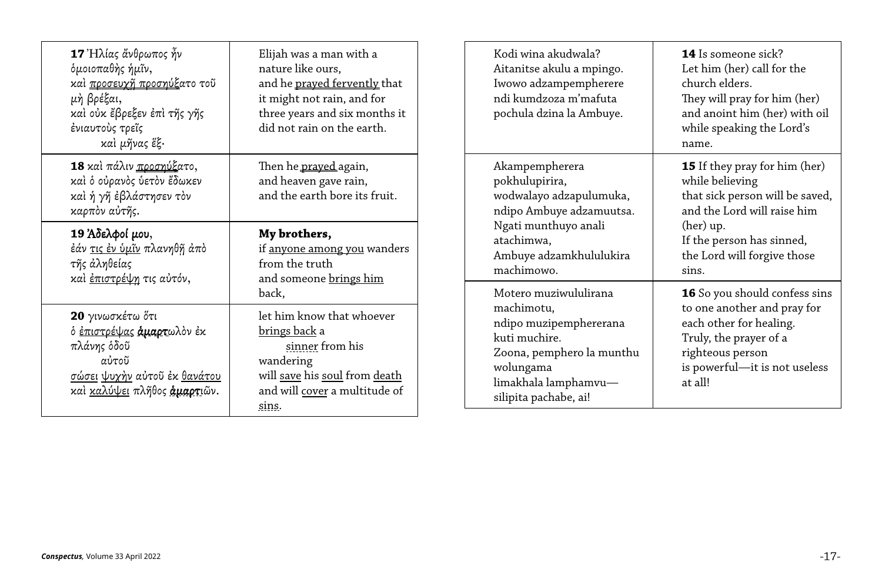| 17 Ηλίας άνθρωπος ἦν<br>δμοιοπαθής ήμῖν,<br>καί προσευχ <u>ῆ προσηύξ</u> ατο τοῦ<br>μή βρέξαι,<br>καὶ οὐκ ἔβρεξεν ἐπὶ τῆς γῆς<br>ένιαυτούς τρεΐς<br>καὶ μῆνας ἕξ·                            | Elijah was a man with a<br>nature like ours,<br>and he prayed fervently that<br>it might not rain, and for<br>three years and six months it<br>did not rain on the earth.    | Kodi wina akudwala?<br>Aitanitse akulu a mpingo.<br>Iwowo adzampempherere<br>ndi kumdzoza m'mafuta<br>pochula dzina la Ambuye.                                            | <b>14</b> Is someone sick?<br>Let him (her) call for the<br>church elders.<br>They will pray for him (her)<br>and anoint him (her) with oil<br>while speaking the Lord's<br>name. |
|----------------------------------------------------------------------------------------------------------------------------------------------------------------------------------------------|------------------------------------------------------------------------------------------------------------------------------------------------------------------------------|---------------------------------------------------------------------------------------------------------------------------------------------------------------------------|-----------------------------------------------------------------------------------------------------------------------------------------------------------------------------------|
| 18 και πάλιν προσηύξατο,<br>καί ό ούρανός ύετον έδωκεν<br>καί ή γῆ ἐβλάστησεν τὸν<br>καρπὸν αὐτῆς.                                                                                           | Then he prayed again,<br>and heaven gave rain,<br>and the earth bore its fruit.                                                                                              | Akampempherera<br>pokhulupirira,<br>wodwalayo adzapulumuka,<br>ndipo Ambuye adzamuutsa.                                                                                   | <b>15</b> If they pray for him (her)<br>while believing<br>that sick person will be saved,<br>and the Lord will raise him                                                         |
| 19 Αδελφοί μου,<br>My brothers,<br>έάν τις έν ύμῖν πλανηθῆ ἀπὸ<br>if <u>anyone among you</u> wanders<br>τῆς ἀληθείας<br>from the truth<br>καί έπιστρέψη τις αύτόν,<br>and someone brings him | Ngati munthuyo anali<br>atachimwa,<br>Ambuye adzamkhululukira<br>machimowo.                                                                                                  | (her) up.<br>If the person has sinned,<br>the Lord will forgive those<br>sins.                                                                                            |                                                                                                                                                                                   |
| 20 γινωσκέτω ότι<br>ό <u>έπιστρέψας</u> άμαρτωλόν έκ<br>πλάνης όδοῦ<br>αὐτοῦ<br><u>σώσει ψυχὴν αὐτοῦ ἐκ θανάτου</u><br>καί καλύψει πλήθος άμαρτιῶν.                                          | back,<br>let him know that whoever<br><u>brings back</u> a<br>sinner from his<br>wandering<br>will save his soul from death<br>and will cover a multitude of<br><u>sins.</u> | Motero muziwululirana<br>machimotu,<br>ndipo muzipemphererana<br>kuti muchire.<br>Zoona, pemphero la munthu<br>wolungama<br>limakhala lamphamvu-<br>silipita pachabe, ai! | 16 So you should confess sins<br>to one another and pray for<br>each other for healing.<br>Truly, the prayer of a<br>righteous person<br>is powerful-it is not useless<br>at all! |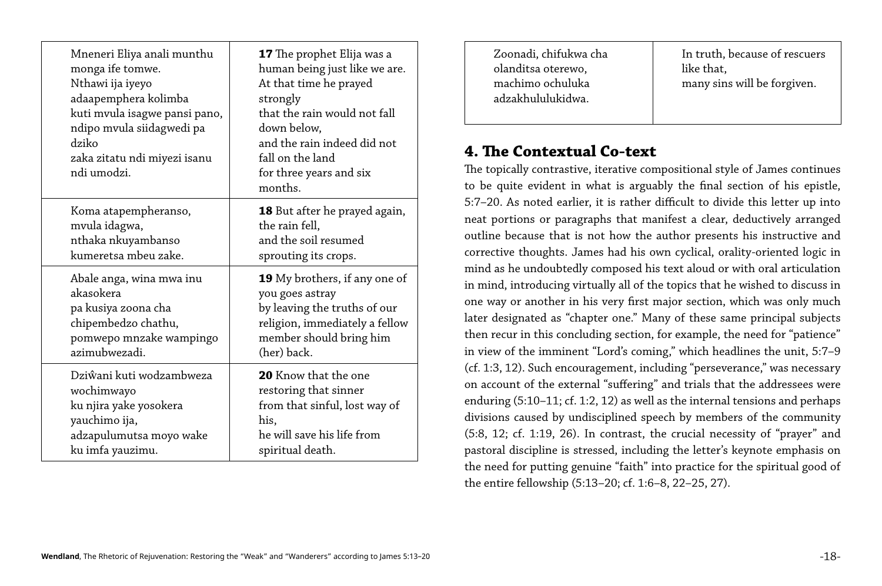| Mneneri Eliya anali munthu<br>monga ife tomwe.<br>Nthawi ija iyeyo<br>adaapemphera kolimba<br>kuti mvula isagwe pansi pano,<br>ndipo mvula siidagwedi pa<br>dziko<br>zaka zitatu ndi miyezi isanu<br>ndi umodzi. | <b>17</b> The prophet Elija was a<br>human being just like we are.<br>At that time he prayed<br>strongly<br>that the rain would not fall<br>down below,<br>and the rain indeed did not<br>fall on the land<br>for three years and six<br>months. |
|------------------------------------------------------------------------------------------------------------------------------------------------------------------------------------------------------------------|--------------------------------------------------------------------------------------------------------------------------------------------------------------------------------------------------------------------------------------------------|
| Koma atapempheranso,                                                                                                                                                                                             | <b>18</b> But after he prayed again,                                                                                                                                                                                                             |
| mvula idagwa,                                                                                                                                                                                                    | the rain fell,                                                                                                                                                                                                                                   |
| nthaka nkuyambanso                                                                                                                                                                                               | and the soil resumed                                                                                                                                                                                                                             |
| kumeretsa mbeu zake.                                                                                                                                                                                             | sprouting its crops.                                                                                                                                                                                                                             |
| Abale anga, wina mwa inu                                                                                                                                                                                         | <b>19</b> My brothers, if any one of                                                                                                                                                                                                             |
| akasokera                                                                                                                                                                                                        | you goes astray                                                                                                                                                                                                                                  |
| pa kusiya zoona cha                                                                                                                                                                                              | by leaving the truths of our                                                                                                                                                                                                                     |
| chipembedzo chathu,                                                                                                                                                                                              | religion, immediately a fellow                                                                                                                                                                                                                   |
| pomwepo mnzake wampingo                                                                                                                                                                                          | member should bring him                                                                                                                                                                                                                          |
| azimubwezadi.                                                                                                                                                                                                    | (her) back.                                                                                                                                                                                                                                      |
| Dziŵani kuti wodzambweza                                                                                                                                                                                         | <b>20</b> Know that the one                                                                                                                                                                                                                      |
| wochimwayo                                                                                                                                                                                                       | restoring that sinner                                                                                                                                                                                                                            |
| ku njira yake yosokera                                                                                                                                                                                           | from that sinful, lost way of                                                                                                                                                                                                                    |
| yauchimo ija,                                                                                                                                                                                                    | his,                                                                                                                                                                                                                                             |
| adzapulumutsa moyo wake                                                                                                                                                                                          | he will save his life from                                                                                                                                                                                                                       |
| ku imfa yauzimu.                                                                                                                                                                                                 | spiritual death.                                                                                                                                                                                                                                 |

Zoonadi, chifukwa cha olanditsa oterewo, machimo ochuluka adzakhululukidwa.

In truth, because of rescuers like that, many sins will be forgiven.

# **4. The Contextual Co-text**

The topically contrastive, iterative compositional style of James continues to be quite evident in what is arguably the final section of his epistle, 5:7–20. As noted earlier, it is rather difficult to divide this letter up into neat portions or paragraphs that manifest a clear, deductively arranged outline because that is not how the author presents his instructive and corrective thoughts. James had his own cyclical, orality-oriented logic in mind as he undoubtedly composed his text aloud or with oral articulation in mind, introducing virtually all of the topics that he wished to discuss in one way or another in his very first major section, which was only much later designated as "chapter one." Many of these same principal subjects then recur in this concluding section, for example, the need for "patience" in view of the imminent "Lord's coming," which headlines the unit, 5:7–9 (cf. 1:3, 12). Such encouragement, including "perseverance," was necessary on account of the external "suffering" and trials that the addressees were enduring (5:10–11; cf. 1:2, 12) as well as the internal tensions and perhaps divisions caused by undisciplined speech by members of the community (5:8, 12; cf. 1:19, 26). In contrast, the crucial necessity of "prayer" and pastoral discipline is stressed, including the letter's keynote emphasis on the need for putting genuine "faith" into practice for the spiritual good of the entire fellowship (5:13–20; cf. 1:6–8, 22–25, 27).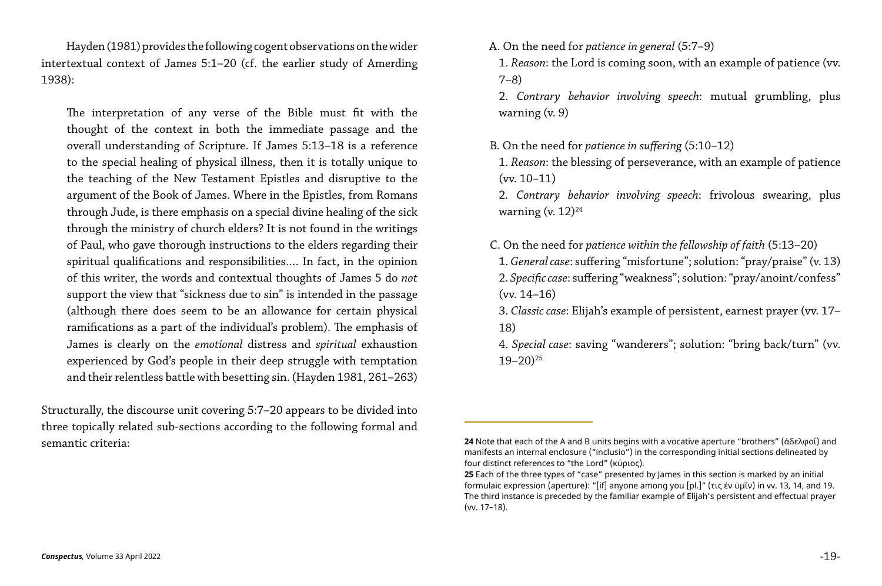Hayden (1981) provides the following cogent observations on the wider intertextual context of James 5:1–20 (cf. the earlier study of Amerding 1938):

The interpretation of any verse of the Bible must fit with the thought of the context in both the immediate passage and the overall understanding of Scripture. If James 5:13–18 is a reference to the special healing of physical illness, then it is totally unique to the teaching of the New Testament Epistles and disruptive to the argument of the Book of James. Where in the Epistles, from Romans through Jude, is there emphasis on a special divine healing of the sick through the ministry of church elders? It is not found in the writings of Paul, who gave thorough instructions to the elders regarding their spiritual qualifications and responsibilities.… In fact, in the opinion of this writer, the words and contextual thoughts of James 5 do *not* support the view that "sickness due to sin" is intended in the passage (although there does seem to be an allowance for certain physical ramifications as a part of the individual's problem). The emphasis of James is clearly on the *emotional* distress and *spiritual* exhaustion experienced by God's people in their deep struggle with temptation and their relentless battle with besetting sin. (Hayden 1981, 261–263)

B. On the need for *patience in suffering* (5:10–12) 1. *Reason*: the blessing of perseverance, with an example of patience (vv. 10–11) 2. *Contrary behavior involving speech*: frivolous swearing, plus warning (v.  $12)^{24}$ 

Structurally, the discourse unit covering 5:7–20 appears to be divided into three topically related sub-sections according to the following formal and semantic criteria:

A. On the need for *patience in general* (5:7–9) 1. *Reason*: the Lord is coming soon, with an example of patience (vv. 7–8) 2. *Contrary behavior involving speech*: mutual grumbling, plus warning (v. 9)

C. On the need for *patience within the fellowship of faith* (5:13–20) 1. *General case*: suffering "misfortune"; solution: "pray/praise" (v. 13) 2. *Specific case*: suffering "weakness"; solution: "pray/anoint/confess" (vv. 14–16) 3. *Classic case*: Elijah's example of persistent, earnest prayer (vv. 17– 18) 4. *Special case*: saving "wanderers"; solution: "bring back/turn" (vv.

**24** Note that each of the A and B units begins with a vocative aperture "brothers" (ἀδελφοί) and manifests an internal enclosure ("inclusio") in the corresponding initial sections delineated by

 $19 - 20$ )<sup>25</sup>

**25** Each of the three types of "case" presented by James in this section is marked by an initial formulaic expression (aperture): "[if] anyone among you [pl.]" (τις ἐν ὑμῖν) in vv. 13, 14, and 19. The third instance is preceded by the familiar example of Elijah's persistent and effectual prayer

four distinct references to "the Lord" (κύριος). (vv. 17–18).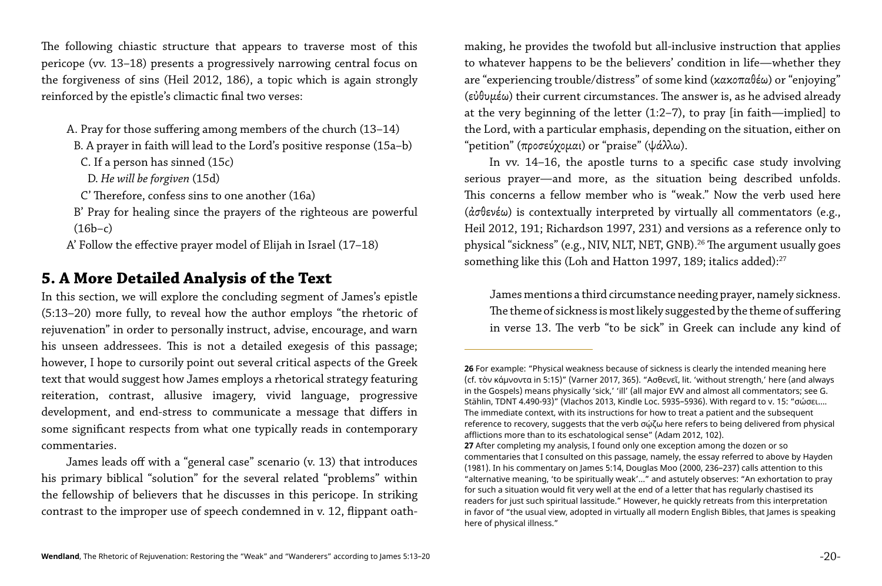The following chiastic structure that appears to traverse most of this pericope (vv. 13–18) presents a progressively narrowing central focus on the forgiveness of sins (Heil 2012, 186), a topic which is again strongly reinforced by the epistle's climactic final two verses:

- A. Pray for those suffering among members of the church (13–14)
- B. A prayer in faith will lead to the Lord's positive response (15a–b)
- C. If a person has sinned (15c)
- D. *He will be forgiven* (15d)
- C' Therefore, confess sins to one another (16a)
- B' Pray for healing since the prayers of the righteous are powerful  $(16b-c)$
- A' Follow the effective prayer model of Elijah in Israel (17–18)

# **5. A More Detailed Analysis of the Text**

In vv. 14–16, the apostle turns to a specific case study involving serious prayer—and more, as the situation being described unfolds. This concerns a fellow member who is "weak." Now the verb used here (ἀσθενέω) is contextually interpreted by virtually all commentators (e.g., Heil 2012, 191; Richardson 1997, 231) and versions as a reference only to physical "sickness" (e.g., NIV, NLT, NET, GNB).<sup>26</sup> The argument usually goes something like this (Loh and Hatton 1997, 189; italics added):<sup>27</sup>

In this section, we will explore the concluding segment of James's epistle (5:13–20) more fully, to reveal how the author employs "the rhetoric of rejuvenation" in order to personally instruct, advise, encourage, and warn his unseen addressees. This is not a detailed exegesis of this passage; however, I hope to cursorily point out several critical aspects of the Greek text that would suggest how James employs a rhetorical strategy featuring reiteration, contrast, allusive imagery, vivid language, progressive development, and end-stress to communicate a message that differs in some significant respects from what one typically reads in contemporary commentaries.

**26** For example: "Physical weakness because of sickness is clearly the intended meaning here (cf. τὸν κάμνοντα in 5:15)" (Varner 2017, 365). "Ασθενεῖ, lit. 'without strength,' here (and always in the Gospels) means physically 'sick,' 'ill' (all major EVV and almost all commentators; see G. Stählin, TDNT 4.490-93)" (Vlachos 2013, Kindle Loc. 5935–5936). With regard to v. 15: "σώσει…. The immediate context, with its instructions for how to treat a patient and the subsequent reference to recovery, suggests that the verb σώζω here refers to being delivered from physical

James leads off with a "general case" scenario (v. 13) that introduces his primary biblical "solution" for the several related "problems" within the fellowship of believers that he discusses in this pericope. In striking contrast to the improper use of speech condemned in v. 12, flippant oathmaking, he provides the twofold but all-inclusive instruction that applies to whatever happens to be the believers' condition in life—whether they are "experiencing trouble/distress" of some kind (κακοπαθέω) or "enjoying" (εὐθυμέω) their current circumstances. The answer is, as he advised already at the very beginning of the letter (1:2–7), to pray [in faith—implied] to the Lord, with a particular emphasis, depending on the situation, either on "petition" (προσεύχομαι) or "praise" (ψάλλω).

James mentions a third circumstance needing prayer, namely sickness. The theme of sickness is most likely suggested by the theme of suffering in verse 13. The verb "to be sick" in Greek can include any kind of

**27** After completing my analysis, I found only one exception among the dozen or so commentaries that I consulted on this passage, namely, the essay referred to above by Hayden (1981). In his commentary on James 5:14, Douglas Moo (2000, 236–237) calls attention to this "alternative meaning, 'to be spiritually weak'…" and astutely observes: "An exhortation to pray for such a situation would fit very well at the end of a letter that has regularly chastised its readers for just such spiritual lassitude." However, he quickly retreats from this interpretation in favor of "the usual view, adopted in virtually all modern English Bibles, that James is speaking

afflictions more than to its eschatological sense" (Adam 2012, 102). here of physical illness."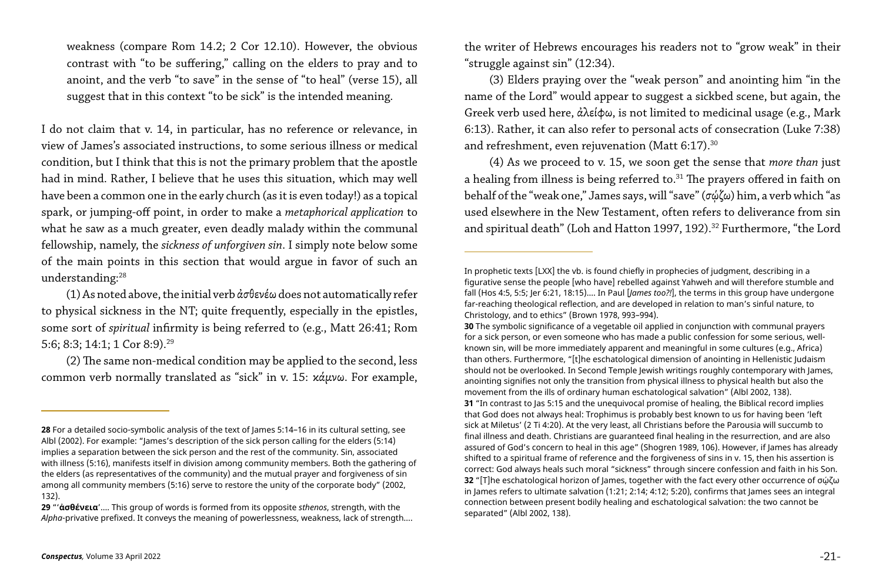I do not claim that v. 14, in particular, has no reference or relevance, in view of James's associated instructions, to some serious illness or medical condition, but I think that this is not the primary problem that the apostle had in mind. Rather, I believe that he uses this situation, which may well have been a common one in the early church (as it is even today!) as a topical spark, or jumping-off point, in order to make a *metaphorical application* to what he saw as a much greater, even deadly malady within the communal fellowship, namely, the *sickness of unforgiven sin*. I simply note below some of the main points in this section that would argue in favor of such an understanding:<sup>28</sup>

weakness (compare Rom 14.2; 2 Cor 12.10). However, the obvious contrast with "to be suffering," calling on the elders to pray and to anoint, and the verb "to save" in the sense of "to heal" (verse 15), all suggest that in this context "to be sick" is the intended meaning.

(3) Elders praying over the "weak person" and anointing him "in the name of the Lord" would appear to suggest a sickbed scene, but again, the Greek verb used here, ἀλείφω, is not limited to medicinal usage (e.g., Mark 6:13). Rather, it can also refer to personal acts of consecration (Luke 7:38) and refreshment, even rejuvenation (Matt 6:17).<sup>30</sup>

(4) As we proceed to v. 15, we soon get the sense that *more than* just a healing from illness is being referred to.<sup>31</sup> The prayers offered in faith on behalf of the "weak one," James says, will "save" (σῴζω) him, a verb which "as used elsewhere in the New Testament, often refers to deliverance from sin and spiritual death" (Loh and Hatton 1997, 192).<sup>32</sup> Furthermore, "the Lord

(1) As noted above, the initial verb ἀσθενέω does not automatically refer to physical sickness in the NT; quite frequently, especially in the epistles, some sort of *spiritual* infirmity is being referred to (e.g., Matt 26:41; Rom 5:6; 8:3; 14:1; 1 Cor 8:9).29

(2) The same non-medical condition may be applied to the second, less common verb normally translated as "sick" in v. 15: κάμνω. For example,

the writer of Hebrews encourages his readers not to "grow weak" in their "struggle against sin" (12:34).

In prophetic texts [LXX] the vb. is found chiefly in prophecies of judgment, describing in a figurative sense the people [who have] rebelled against Yahweh and will therefore stumble and fall (Hos 4:5, 5:5; Jer 6:21, 18:15).… In Paul [*James too?!*], the terms in this group have undergone far-reaching theological reflection, and are developed in relation to man's sinful nature, to

**30** The symbolic significance of a vegetable oil applied in conjunction with communal prayers for a sick person, or even someone who has made a public confession for some serious, wellknown sin, will be more immediately apparent and meaningful in some cultures (e.g., Africa) than others. Furthermore, "[t]he eschatological dimension of anointing in Hellenistic Judaism should not be overlooked. In Second Temple Jewish writings roughly contemporary with James, anointing signifies not only the transition from physical illness to physical health but also the movement from the ills of ordinary human eschatological salvation" (Albl 2002, 138).

**31** "In contrast to Jas 5:15 and the unequivocal promise of healing, the Biblical record implies that God does not always heal: Trophimus is probably best known to us for having been 'left sick at Miletus' (2 Ti 4:20). At the very least, all Christians before the Parousia will succumb to final illness and death. Christians are guaranteed final healing in the resurrection, and are also assured of God's concern to heal in this age" (Shogren 1989, 106). However, if James has already shifted to a spiritual frame of reference and the forgiveness of sins in v. 15, then his assertion is correct: God always heals such moral "sickness" through sincere confession and faith in his Son. **32** "[T]he eschatological horizon of James, together with the fact every other occurrence of σώζω in James refers to ultimate salvation (1:21; 2:14; 4:12; 5:20), confirms that James sees an integral connection between present bodily healing and eschatological salvation: the two cannot be

**<sup>28</sup>** For a detailed socio-symbolic analysis of the text of James 5:14–16 in its cultural setting, see Albl (2002). For example: "James's description of the sick person calling for the elders (5:14) implies a separation between the sick person and the rest of the community. Sin, associated with illness (5:16), manifests itself in division among community members. Both the gathering of the elders (as representatives of the community) and the mutual prayer and forgiveness of sin among all community members (5:16) serve to restore the unity of the corporate body" (2002, 132).

**<sup>29</sup>** "'**ἀσθένεια**'…. This group of words is formed from its opposite *sthenos*, strength, with the *Alpha*-privative prefixed. It conveys the meaning of powerlessness, weakness, lack of strength….

Christology, and to ethics" (Brown 1978, 993–994). separated" (Albl 2002, 138).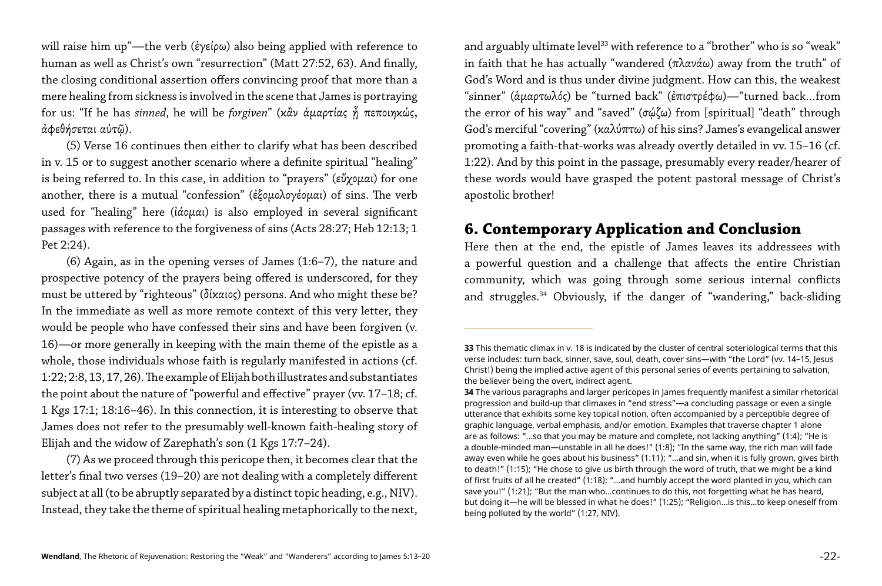will raise him up"—the verb (ἐγείρω) also being applied with reference to human as well as Christ's own "resurrection" (Matt 27:52, 63). And finally, the closing conditional assertion offers convincing proof that more than a mere healing from sickness is involved in the scene that James is portraying for us: "If he has *sinned*, he will be *forgiven*" (κἂν ἁμαρτίας ᾖ πεποιηκώς, ἀφεθήσεται αὐτῷ).

(5) Verse 16 continues then either to clarify what has been described in v. 15 or to suggest another scenario where a definite spiritual "healing" is being referred to. In this case, in addition to "prayers" (εὔχομαι) for one another, there is a mutual "confession" (ἐξομολογέομαι) of sins. The verb used for "healing" here (ἰάομαι) is also employed in several significant passages with reference to the forgiveness of sins (Acts 28:27; Heb 12:13; 1 Pet 2:24).

(6) Again, as in the opening verses of James (1:6–7), the nature and prospective potency of the prayers being offered is underscored, for they must be uttered by "righteous" (δίκαιος) persons. And who might these be? In the immediate as well as more remote context of this very letter, they would be people who have confessed their sins and have been forgiven (v. 16)—or more generally in keeping with the main theme of the epistle as a whole, those individuals whose faith is regularly manifested in actions (cf. 1:22; 2:8, 13, 17, 26). The example of Elijah both illustrates and substantiates the point about the nature of "powerful and effective" prayer (vv. 17–18; cf. 1 Kgs 17:1; 18:16–46). In this connection, it is interesting to observe that James does not refer to the presumably well-known faith-healing story of Elijah and the widow of Zarephath's son (1 Kgs 17:7–24).

and arguably ultimate level<sup>33</sup> with reference to a "brother" who is so "weak" in faith that he has actually "wandered (πλανάω) away from the truth" of God's Word and is thus under divine judgment. How can this, the weakest "sinner" (ἁμαρτωλός) be "turned back" (ἐπιστρέφω)—"turned back…from the error of his way" and "saved" (σῴζω) from [spiritual] "death" through God's merciful "covering" (καλύπτω) of his sins? James's evangelical answer promoting a faith-that-works was already overtly detailed in vv. 15–16 (cf. 1:22). And by this point in the passage, presumably every reader/hearer of these words would have grasped the potent pastoral message of Christ's apostolic brother!

(7) As we proceed through this pericope then, it becomes clear that the letter's final two verses (19–20) are not dealing with a completely different subject at all (to be abruptly separated by a distinct topic heading, e.g., NIV). Instead, they take the theme of spiritual healing metaphorically to the next,

# **6. Contemporary Application and Conclusion**

Here then at the end, the epistle of James leaves its addressees with a powerful question and a challenge that affects the entire Christian community, which was going through some serious internal conflicts and struggles.34 Obviously, if the danger of "wandering," back-sliding

**33** This thematic climax in v. 18 is indicated by the cluster of central soteriological terms that this verse includes: turn back, sinner, save, soul, death, cover sins—with "the Lord" (vv. 14–15, Jesus Christ!) being the implied active agent of this personal series of events pertaining to salvation,

**34** The various paragraphs and larger pericopes in James frequently manifest a similar rhetorical progression and build-up that climaxes in "end stress"—a concluding passage or even a single utterance that exhibits some key topical notion, often accompanied by a perceptible degree of graphic language, verbal emphasis, and/or emotion. Examples that traverse chapter 1 alone are as follows: "…so that you may be mature and complete, not lacking anything" (1:4); "He is a double-minded man—unstable in all he does!" (1:8); "In the same way, the rich man will fade away even while he goes about his business" (1:11); "…and sin, when it is fully grown, gives birth to death!" (1:15); "He chose to give us birth through the word of truth, that we might be a kind of first fruits of all he created" (1:18); "…and humbly accept the word planted in you, which can save you!" (1:21); "But the man who…continues to do this, not forgetting what he has heard, but doing it—he will be blessed in what he does!" (1:25); "Religion…is this…to keep oneself from

the believer being the overt, indirect agent. being polluted by the world" (1:27, NIV).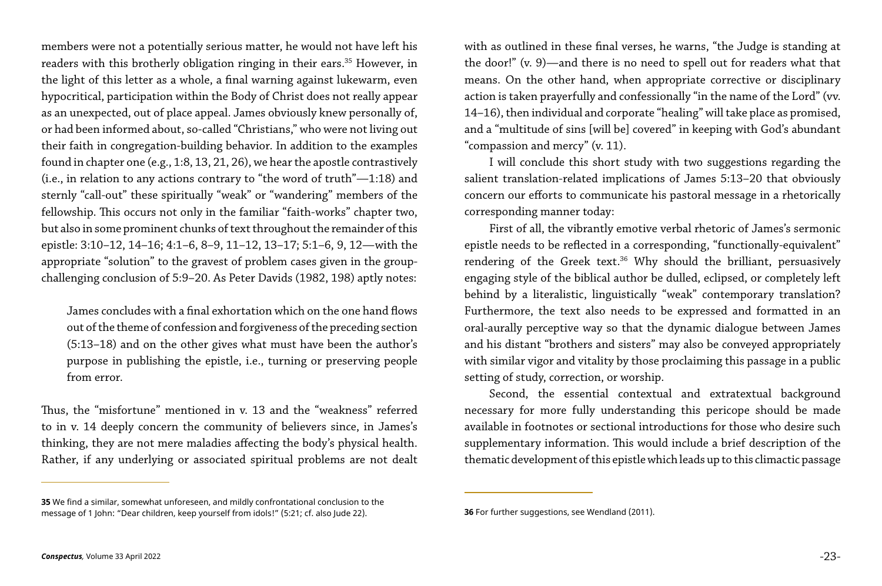members were not a potentially serious matter, he would not have left his readers with this brotherly obligation ringing in their ears.<sup>35</sup> However, in the light of this letter as a whole, a final warning against lukewarm, even hypocritical, participation within the Body of Christ does not really appear as an unexpected, out of place appeal. James obviously knew personally of, or had been informed about, so-called "Christians," who were not living out their faith in congregation-building behavior. In addition to the examples found in chapter one (e.g., 1:8, 13, 21, 26), we hear the apostle contrastively (i.e., in relation to any actions contrary to "the word of truth"—1:18) and sternly "call-out" these spiritually "weak" or "wandering" members of the fellowship. This occurs not only in the familiar "faith-works" chapter two, but also in some prominent chunks of text throughout the remainder of this epistle: 3:10–12, 14–16; 4:1–6, 8–9, 11–12, 13–17; 5:1–6, 9, 12—with the appropriate "solution" to the gravest of problem cases given in the groupchallenging conclusion of 5:9–20. As Peter Davids (1982, 198) aptly notes:

James concludes with a final exhortation which on the one hand flows out of the theme of confession and forgiveness of the preceding section (5:13–18) and on the other gives what must have been the author's purpose in publishing the epistle, i.e., turning or preserving people from error.

Thus, the "misfortune" mentioned in v. 13 and the "weakness" referred to in v. 14 deeply concern the community of believers since, in James's thinking, they are not mere maladies affecting the body's physical health. Rather, if any underlying or associated spiritual problems are not dealt with as outlined in these final verses, he warns, "the Judge is standing at the door!" (v. 9)—and there is no need to spell out for readers what that means. On the other hand, when appropriate corrective or disciplinary action is taken prayerfully and confessionally "in the name of the Lord" (vv. 14–16), then individual and corporate "healing" will take place as promised, and a "multitude of sins [will be] covered" in keeping with God's abundant "compassion and mercy" (v. 11).

I will conclude this short study with two suggestions regarding the salient translation-related implications of James 5:13–20 that obviously concern our efforts to communicate his pastoral message in a rhetorically corresponding manner today:

First of all, the vibrantly emotive verbal rhetoric of James's sermonic epistle needs to be reflected in a corresponding, "functionally-equivalent" rendering of the Greek text.<sup>36</sup> Why should the brilliant, persuasively engaging style of the biblical author be dulled, eclipsed, or completely left behind by a literalistic, linguistically "weak" contemporary translation? Furthermore, the text also needs to be expressed and formatted in an oral-aurally perceptive way so that the dynamic dialogue between James and his distant "brothers and sisters" may also be conveyed appropriately with similar vigor and vitality by those proclaiming this passage in a public setting of study, correction, or worship.

Second, the essential contextual and extratextual background necessary for more fully understanding this pericope should be made available in footnotes or sectional introductions for those who desire such supplementary information. This would include a brief description of the thematic development of this epistle which leads up to this climactic passage

**<sup>35</sup>** We find a similar, somewhat unforeseen, and mildly confrontational conclusion to the message of 1 John: "Dear children, keep yourself from idols!" (5:21; cf. also Jude 22). **36** For further suggestions, see Wendland (2011).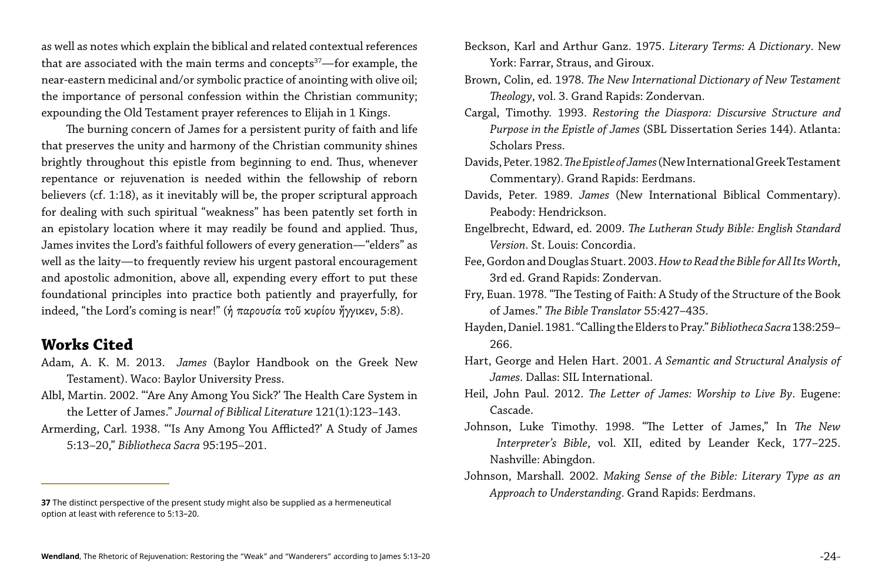The burning concern of James for a persistent purity of faith and life that preserves the unity and harmony of the Christian community shines brightly throughout this epistle from beginning to end. Thus, whenever repentance or rejuvenation is needed within the fellowship of reborn believers (cf. 1:18), as it inevitably will be, the proper scriptural approach for dealing with such spiritual "weakness" has been patently set forth in an epistolary location where it may readily be found and applied. Thus, James invites the Lord's faithful followers of every generation—"elders" as well as the laity—to frequently review his urgent pastoral encouragement and apostolic admonition, above all, expending every effort to put these foundational principles into practice both patiently and prayerfully, for indeed, "the Lord's coming is near!" (ή παρουσία τοῦ κυρίου ἤγγικεν, 5:8).

as well as notes which explain the biblical and related contextual references that are associated with the main terms and concepts $37$ —for example, the near-eastern medicinal and/or symbolic practice of anointing with olive oil; the importance of personal confession within the Christian community; expounding the Old Testament prayer references to Elijah in 1 Kings.

## **Works Cited**

- Adam, A. K. M. 2013. *James* (Baylor Handbook on the Greek New Testament). Waco: Baylor University Press.
- Albl, Martin. 2002. "'Are Any Among You Sick?' The Health Care System in the Letter of James." *Journal of Biblical Literature* 121(1):123–143.
- Armerding, Carl. 1938. "'Is Any Among You Afflicted?' A Study of James 5:13–20," *Bibliotheca Sacra* 95:195–201.

Beckson, Karl and Arthur Ganz. 1975. *Literary Terms: A Dictionary*. New York: Farrar, Straus, and Giroux. Brown, Colin, ed. 1978. *The New International Dictionary of New Testament Theology*, vol. 3. Grand Rapids: Zondervan. Cargal, Timothy. 1993. *Restoring the Diaspora: Discursive Structure and Purpose in the Epistle of James* (SBL Dissertation Series 144). Atlanta: Scholars Press. Davids, Peter. 1982. *The Epistle of James* (New International Greek Testament Commentary). Grand Rapids: Eerdmans. Davids, Peter. 1989. *James* (New International Biblical Commentary). Peabody: Hendrickson. Engelbrecht, Edward, ed. 2009. *The Lutheran Study Bible: English Standard Version*. St. Louis: Concordia. Fee, Gordon and Douglas Stuart. 2003. *How to Read the Bible for All Its Worth*, 3rd ed. Grand Rapids: Zondervan. Fry, Euan. 1978. "The Testing of Faith: A Study of the Structure of the Book of James." *The Bible Translator* 55:427–435. Hayden, Daniel. 1981. "Calling the Elders to Pray." *Bibliotheca Sacra* 138:259– 266. Hart, George and Helen Hart. 2001. *A Semantic and Structural Analysis of James*. Dallas: SIL International. Heil, John Paul. 2012. *The Letter of James: Worship to Live By*. Eugene: Cascade.

Johnson, Luke Timothy. 1998. "The Letter of James," In *The New Interpreter's Bible*, vol. XII, edited by Leander Keck, 177–225. Nashville: Abingdon.

Johnson, Marshall. 2002. *Making Sense of the Bible: Literary Type as an Approach to Understanding*. Grand Rapids: Eerdmans.

**<sup>37</sup>** The distinct perspective of the present study might also be supplied as a hermeneutical option at least with reference to 5:13–20.